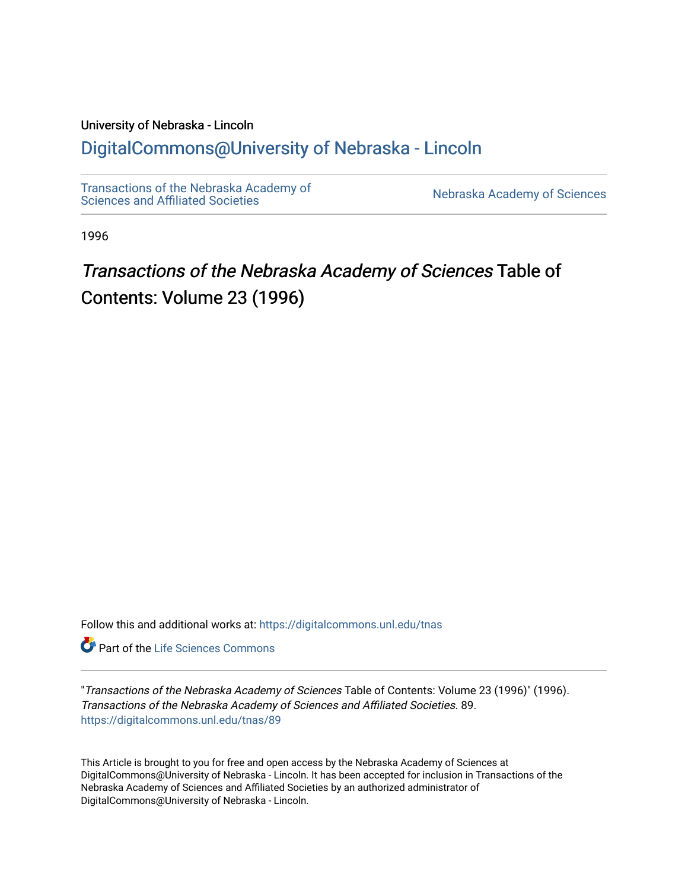# University of Nebraska - Lincoln

## [DigitalCommons@University of Nebraska - Lincoln](https://digitalcommons.unl.edu/)

[Transactions of the Nebraska Academy of](https://digitalcommons.unl.edu/tnas)  Transactions of the Nebraska Academy of Sciences<br>Sciences and Affiliated Societies

1996

# Transactions of the Nebraska Academy of Sciences Table of Contents: Volume 23 (1996)

Follow this and additional works at: [https://digitalcommons.unl.edu/tnas](https://digitalcommons.unl.edu/tnas?utm_source=digitalcommons.unl.edu%2Ftnas%2F89&utm_medium=PDF&utm_campaign=PDFCoverPages) 

**Part of the Life Sciences Commons** 

"Transactions of the Nebraska Academy of Sciences Table of Contents: Volume 23 (1996)" (1996). Transactions of the Nebraska Academy of Sciences and Affiliated Societies. 89. [https://digitalcommons.unl.edu/tnas/89](https://digitalcommons.unl.edu/tnas/89?utm_source=digitalcommons.unl.edu%2Ftnas%2F89&utm_medium=PDF&utm_campaign=PDFCoverPages)

This Article is brought to you for free and open access by the Nebraska Academy of Sciences at DigitalCommons@University of Nebraska - Lincoln. It has been accepted for inclusion in Transactions of the Nebraska Academy of Sciences and Affiliated Societies by an authorized administrator of DigitalCommons@University of Nebraska - Lincoln.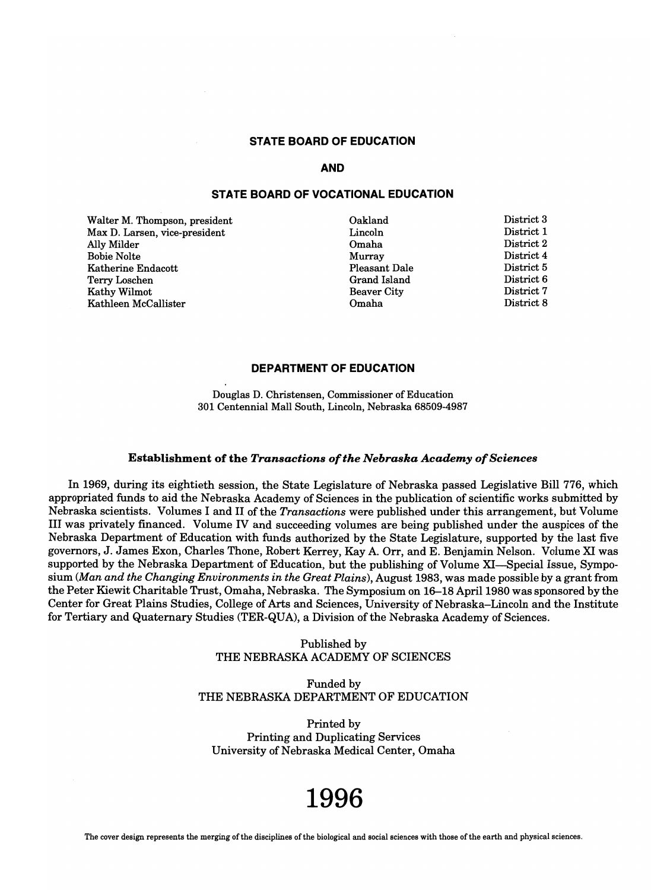## **STATE BOARD OF EDUCATION**

### **AND**

## **STATE BOARD OF VOCATIONAL EDUCATION**

Walter M. Thompson, president Max D. Larsen, vice-president Ally Milder Bobie Nolte Katherine Endacott Terry Loschen Kathy Wilmot Kathleen McCallister

Oakland Lincoln Omaha Murray Pleasant Dale Grand Island Beaver City Omaha

District 3 District 1 District 2 District 4 District 5 District 6 District 7 District 8

## **DEPARTMENT OF EDUCATION**

Douglas D. Christensen, Commissioner of Education 301 Centennial Mall South, Lincoln, Nebraska 68509-4987

### Establishment of the *Transactions of the Nebraska Academy of Sciences*

In 1969, during its eightieth session, the State Legislature of Nebraska passed Legislative Bill 776, which appropriated funds to aid the Nebraska Academy of Sciences in the publication of scientific works submitted by Nebraska scientists. Volumes I and II of the *Transactions* were published under this arrangement, but Volume III was privately financed. Volume IV and succeeding volumes are being published under the auspices of the Nebraska Department of Education with funds authorized by the State Legislature, supported by the last five governors, J. James Exon, Charles Thone, Robert Kerrey, Kay A. Orr, and E. Benjamin Nelson. Volume XI was supported by the Nebraska Department of Education, but the publishing of Volume XI-Special Issue, Symposium *(Man and the Changing Environments in the Great Plains),* August 1983, was made possible by a grant from the Peter Kiewit Charitable Trust, Omaha, Nebraska. The Symposium on 16-18 April 1980 was sponsored by the Center for Great Plains Studies, College of Arts and Sciences, University of Nebraska-Lincoln and the Institute for Tertiary and Quaternary Studies (TER-QUA), a Division of the Nebraska Academy of Sciences.

> Published by THE NEBRASKA ACADEMY OF SCIENCES

Funded by THE NEBRASKA DEPARTMENT OF EDUCATION

Printed by Printing and Duplicating Services University of Nebraska Medical Center, Omaha

# **1996**

The cover design represents the merging of the disciplines of the biological and social sciences with those of the earth and physical sciences.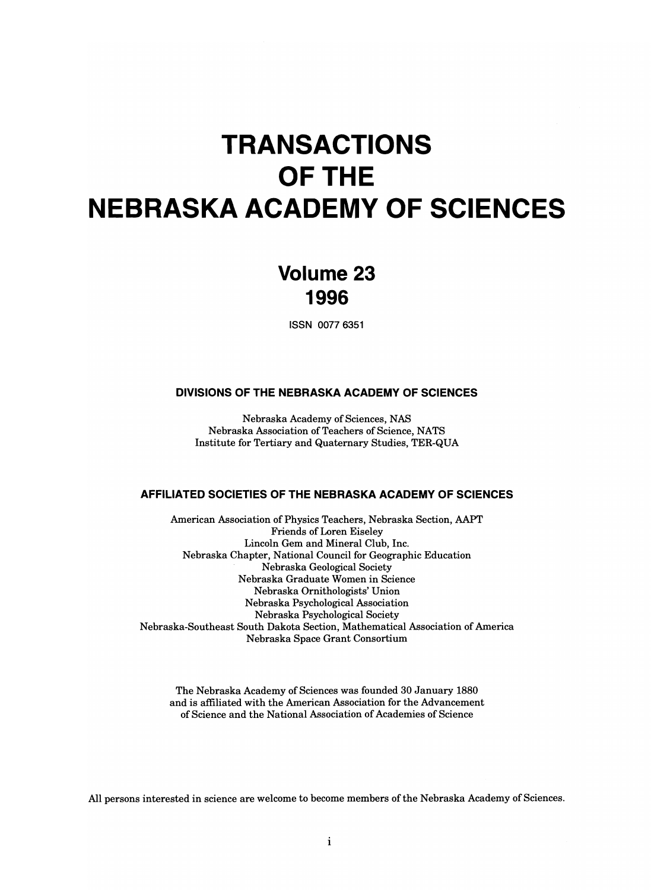# **TRANSACTIONS OFTHE NEBRASKA ACADEMY OF SCIENCES**

# **Volume 23 1996**

ISSN 0077 6351

## **DIVISIONS OF THE NEBRASKA ACADEMY OF SCIENCES**

Nebraska Academy of Sciences, NAS Nebraska Association of Teachers of Science, NATS Institute for Tertiary and Quaternary Studies, TER-QUA

## **AFFILIATED SOCIETIES OF THE NEBRASKA ACADEMY OF SCIENCES**

American Association of Physics Teachers, Nebraska Section, AAPT Friends of Loren Eiseley Lincoln Gem and Mineral Club, Inc. Nebraska Chapter, National Council for Geographic Education Nebraska Geological Society Nebraska Graduate Women in Science Nebraska Ornithologists' Union Nebraska Psychological Association Nebraska Psychological Society Nebraska-Southeast South Dakota Section, Mathematical Association of America Nebraska Space Grant Consortium

The Nebraska Academy of Sciences was founded 30 January 1880 and is affiliated with the American Association for the Advancement of Science and the National Association of Academies of Science

All persons interested in science are welcome to become members of the Nebraska Academy of Sciences.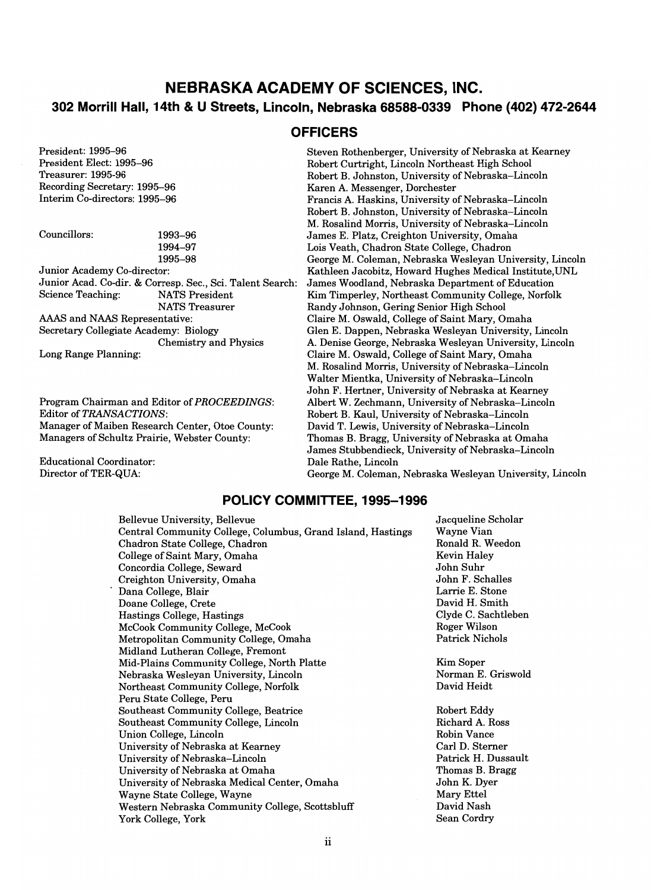## **NEBRASKA ACADEMY OF SCIENCES, INC. 302 Morrill Hall, 14th & U Streets, Lincoln, Nebraska 68588-0339 Phone (402) 472-2644**

**OFFICERS** 

President: 1995-96 President Elect: 1995-96 Treasurer: 1995-96 Recording Secretary: 1995-96 Interim Co-directors: 1995-96

| Councillors: | 1993–96   |
|--------------|-----------|
|              | 1994–97   |
|              | $100E$ 00 |

1995-98 Junior Academy Co-director: Junior Acad. Co-dir. & Corresp. Sec., Sci. Talent Search: Science Teaching: NATS President NATS Treasurer AAAS and NAAS Representative: Secretary Collegiate Academy: Biology Chemistry and Physics

Long Range Planning:

Program Chairman and Editor of *PROCEEDINGS:*  Editor of *TRANSACTIONS:*  Manager of Maiben Research Center, Otoe County: Managers of Schultz Prairie, Webster County:

Educational Coordinator: Director of TER-QUA:

## Steven Rothenberger, University of Nebraska at Kearney Robert Curtright, Lincoln Northeast High School Robert B. Johnston, University of Nebraska-Lincoln Karen A. Messenger, Dorchester Francis A. Haskins, University of Nebraska-Lincoln Robert B. Johnston, University of Nebraska-Lincoln M. Rosalind Morris, University of Nebraska-Lincoln James E. Platz, Creighton University, Omaha Lois Veath, Chadron State College, Chadron George M. Coleman, Nebraska Wesleyan University, Lincoln Kathleen Jacobitz, Howard Hughes Medical Institute,UNL James Woodland, Nebraska Department of Education Kim Timperley, Northeast Community College, Norfolk Randy Johnson, Gering Senior High School Claire M. Oswald, College of Saint Mary, Omaha Glen E. Dappen, Nebraska Wesleyan University, Lincoln A. Denise George, Nebraska Wesleyan University, Lincoln Claire M. Oswald, College of Saint Mary, Omaha M. Rosalind Morris, University of Nebraska-Lincoln Walter Mientka, University of Nebraska-Lincoln John F. Hertner, University of Nebraska at Kearney Albert W. Zechmann, University of Nebraska-Lincoln Robert B. Kaul, University of Nebraska-Lincoln David T. Lewis, University of Nebraska-Lincoln Thomas B. Bragg, University of Nebraska at Omaha James Stubbendieck, University of Nebraska-Lincoln Dale Rathe, Lincoln George M. Coleman, Nebraska Wesleyan University, Lincoln

## **POLICY COMMITTEE, 1995-1996**

Bellevue University, Bellevue Central Community College, Columbus, Grand Island, Hastings Chadron State College, Chadron College of Saint Mary, Omaha Concordia College, Seward Creighton University, Omaha Dana College, Blair Doane College, Crete Hastings College, Hastings McCook Community College, McCook Metropolitan Community College, Omaha Midland Lutheran College, Fremont Mid-Plains Community College, North Platte Nebraska Wesleyan University, Lincoln Northeast Community College, Norfolk Peru State College, Peru Southeast Community College, Beatrice Southeast Community College, Lincoln Union College, Lincoln University of Nebraska at Kearney University of Nebraska-Lincoln University of Nebraska at Omaha University of Nebraska Medical Center, Omaha Wayne State College, Wayne Western Nebraska Community College, Scottsbluff York College, York

Jacqueline Scholar Wayne Vian Ronald R. Weedon Kevin Haley John Suhr John F. Schalles Larrie E. Stone David H. Smith Clyde C. Sachtleben Roger Wilson Patrick Nichols

Kim Soper Norman E. Griswold David Heidt

Robert Eddy Richard A. Ross Robin Vance Carl D. Sterner Patrick H. Dussault Thomas B. Bragg John K. Dyer Mary Ettel David Nash Sean Cordry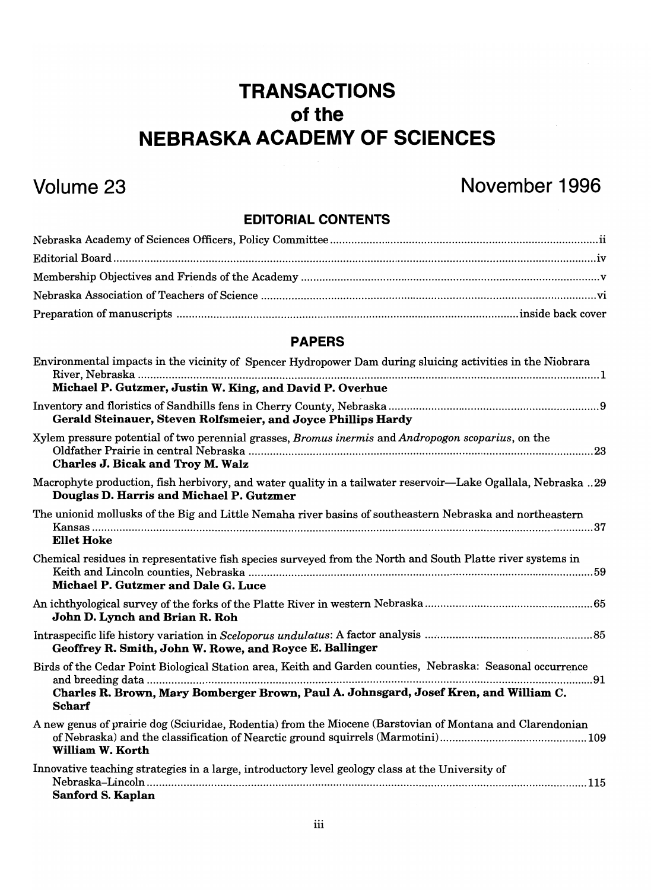# **TRANSACTIONS**  of the **NEBRASKA ACADEMY OF SCIENCES**

# Volume 23 November 1996

## EDITORIAL CONTENTS

## PAPERS

| Environmental impacts in the vicinity of Spencer Hydropower Dam during sluicing activities in the Niobrara                                                                                                           |
|----------------------------------------------------------------------------------------------------------------------------------------------------------------------------------------------------------------------|
| Michael P. Gutzmer, Justin W. King, and David P. Overhue                                                                                                                                                             |
| Gerald Steinauer, Steven Rolfsmeier, and Joyce Phillips Hardy                                                                                                                                                        |
| Xylem pressure potential of two perennial grasses, Bromus inermis and Andropogon scoparius, on the<br><b>Charles J. Bicak and Troy M. Walz</b>                                                                       |
| Macrophyte production, fish herbivory, and water quality in a tailwater reservoir—Lake Ogallala, Nebraska 29<br>Douglas D. Harris and Michael P. Gutzmer                                                             |
| The unionid mollusks of the Big and Little Nemaha river basins of southeastern Nebraska and northeastern<br><b>Ellet Hoke</b>                                                                                        |
| Chemical residues in representative fish species surveyed from the North and South Platte river systems in<br>Michael P. Gutzmer and Dale G. Luce                                                                    |
| John D. Lynch and Brian R. Roh                                                                                                                                                                                       |
| Geoffrey R. Smith, John W. Rowe, and Royce E. Ballinger                                                                                                                                                              |
| Birds of the Cedar Point Biological Station area, Keith and Garden counties, Nebraska: Seasonal occurrence<br>Charles R. Brown, Mary Bomberger Brown, Paul A. Johnsgard, Josef Kren, and William C.<br><b>Scharf</b> |
| A new genus of prairie dog (Sciuridae, Rodentia) from the Miocene (Barstovian of Montana and Clarendonian<br><b>William W. Korth</b>                                                                                 |
| Innovative teaching strategies in a large, introductory level geology class at the University of<br>Sanford S. Kaplan                                                                                                |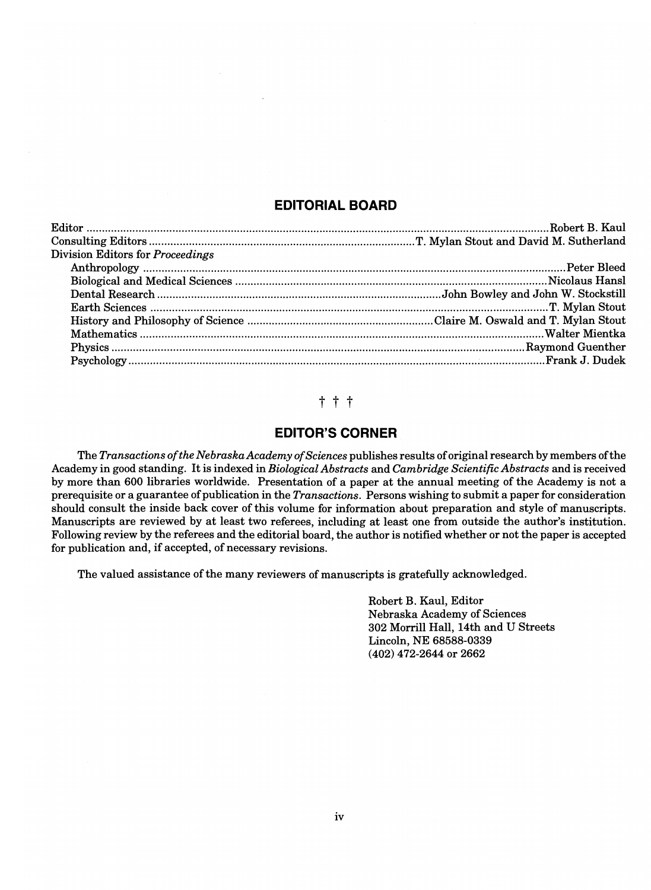## **EDITORIAL BOARD**

| Division Editors for Proceedings |  |
|----------------------------------|--|
|                                  |  |
|                                  |  |
|                                  |  |
|                                  |  |
|                                  |  |
|                                  |  |
|                                  |  |
|                                  |  |

## t t t

## **EDITOR'S CORNER**

The *Transactions of the Nebraska Academy of Sciences* publishes results of original research by members of the Academy in good standing. It is indexed in *Biological Abstracts* and *Cambridge Scientific Abstracts* and is received by more than 600 libraries worldwide. Presentation of a paper at the annual meeting of the Academy is not a prerequisite or a guarantee of publication in the *Transactions.* Persons wishing to submit a paper for consideration should consult the inside back cover of this volume for information about preparation and style of manuscripts. Manuscripts are reviewed by at least two referees, including at least one from outside the author's institution. Following review by the referees and the editorial board, the author is notified whether or not the paper is accepted for publication and, if accepted, of necessary revisions.

The valued assistance of the many reviewers of manuscripts is gratefully acknowledged.

Robert B. Kaul, Editor Nebraska Academy of Sciences 302 Morrill Hall, 14th and U Streets Lincoln, NE 68588-0339 (402) 472-2644 or 2662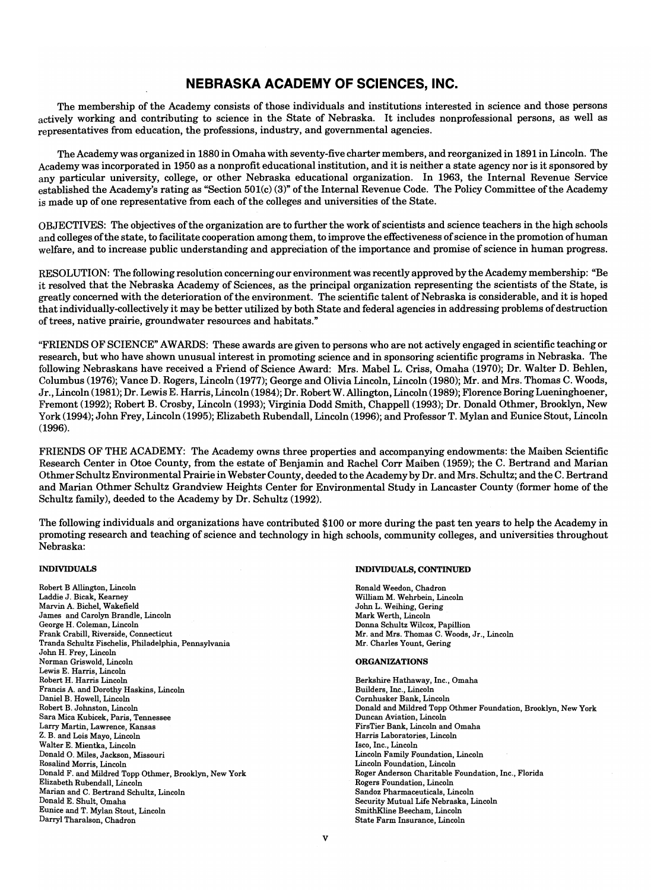## **NEBRASKA ACADEMY OF SCIENCES, INC.**

The membership of the Academy consists of those individuals and institutions interested in science and those persons actively working and contributing to science in the State of Nebraska. It includes nonprofessional persons, as well as representatives from education, the professions, industry, and governmental agencies.

The Academy was organized in 1880 in Omaha with seventy-five charter members, and reorganized in 1891 in Lincoln. The Academy was incorporated in 1950 as a nonprofit educational institution, and it is neither a state agency nor is it sponsored by any particular university, college, or other Nebraska educational organization. In 1963, the Internal Revenue Service established the Academy's rating as "Section 501(c) (3)" of the Internal Revenue Code. The Policy Committee ofthe Academy is made up of one representative from each of the colleges and universities of the State.

OBJECTIVES: The objectives of the organization are to further the work of scientists and science teachers in the high schools and colleges of the state, to facilitate cooperation among them, to improve the effectiveness of science in the promotion of human welfare, and to increase public understanding and appreclation of the importance and promise of science in human progress.

RESOLUTION: The following resolution concerning our environment was recently approved by the Academy membership: "Be it resolved that the Nebraska Academy of Sciences, as the principal organization representing the scientists of the State, is greatly concerned with the deterioration of the environment. The scientific talent of Nebraska is considerable, and it is hoped that individually-collectively it may be better utilized by both State and federal agencies in addressing problems of destruction of trees, native prairie, groundwater resources and habitats."

"FRIENDS OF SCIENCE" AWARDS: These awards are given to persons who are not actively engaged in scientific teaching or research, but who have shown unusual interest in promoting science and in sponsoring scientific programs in Nebraska. The following Nebraskans have received a Friend of Science Award: Mrs. Mabel L. Criss, Omaha (1970); Dr. Walter D. Behlen, Columbus (1976); Vance D. Rogers, Lincoln (1977); George and Olivia Lincoln, Lincoln (1980); Mr. and Mrs. Thomas C. Woods, Jr., Lincoln (1981); Dr. Lewis E. Harris, Lincoln (1984); Dr. Robert W. Allington, Lincoln (1989); Florence Boring Lueninghoener, Fremont (1992); Robert B. Crosby, Lincoln (1993); Virginia Dodd Smith, Chappell (1993); Dr. Donald Othmer, Brooklyn, New York (1994); John Frey, Lincoln (1995); Elizabeth Rubendall, Lincoln (1996); and ProfessorT. Mylan and Eunice Stout, Lincoln (1996).

FRIENDS OF THE ACADEMY: The Academy owns three properties and accompanying endowments: the Maiben Scientific Research Center in Otoe County, from the estate of Benjamin and Rachel Corr Maiben (1959); the C. Bertrand and Marian Othmer Schultz Environmental Prairie in Webster County, deeded to the Academy by Dr. and Mrs. Schultz; and the C. Bertrand and Marian Othmer Schultz Grandview Heights Center for Environmental Study in Lancaster County (former home of the Schultz family), deeded to the Academy by Dr. Schultz (1992).

The following individuals and organizations have contributed \$100 or more during the past ten years to help the Academy in promoting research and teaching of science and technology in high schools, community colleges, and universities throughout Nebraska:

### INDIVIDUALS

Robert B Allington, Lincoln Laddie J. Bicak, Kearney Marvin A. Bichel, Wakefield James and Carolyn Brandle, Lincoln George H. Coleman, Lincoln Frank Crabill, Riverside, Connecticut Tranda Schultz Fischelis, Philadelphia, Pennsylvania John H. Frey, Lincoln Norman Griswold, Lincoln Lewis E. Harris, Lincoln Robert H. Harris Lincoln Francis A. and Dorothy Haskins, Lincoln Daniel B. Howell, Lincoln Robert B. Johnston, Lincoln Sara Mica Kubicek, Paris, Tennessee Larry Martin, Lawrence, Kansas Z. B. and Lois Mayo, Lincoln Walter E. Mientka, Lincoln Donald O. Miles, Jackson, Missouri Rosalind Morris, Lincoln Donald F. and Mildred Topp Othmer, Brooklyn, New York Elizabeth Rubendall, Lincoln Marian and C. Bertrand Schultz, Lincoln Donald E. Shult, Omaha Eunice and T. Mylan Stout, Lincoln Darryl Tharalson, Chadron

### INDIVIDUALS, CONTINUED

Ronald Weedon, Chadron William M. Wehrbein, Lincoln John L. Weihing, Gering Mark Werth, Lincoln Donna Schultz Wilcox, Papillion Mr. and Mrs. Thomas C. Woods, Jr., Lincoln Mr. Charles Yount, Gering

### ORGANIZATIONS

Berkshire Hathaway, Inc., Omaha Builders, Inc., Lincoln Cornhusker Bank, Lincoln Donald and Mildred Topp Othmer Foundation, Brooklyn, New York Duncan Aviation, Lincoln FirsTier Bank, Lincoln and Omaha Harris Laboratories, Lincoln Isco, Inc., Lincoln Lincoln Family Foundation, Lincoln Lincoln Foundation, Lincoln Roger Anderson Charitable Foundation, Inc., Florida Rogers Foundation, Lincoln Sandoz Pharmaceuticals, Lincoln Security Mutual Life Nebraska, Lincoln SmithKIine Beecham, Lincoln State Farm Insurance, Lincoln